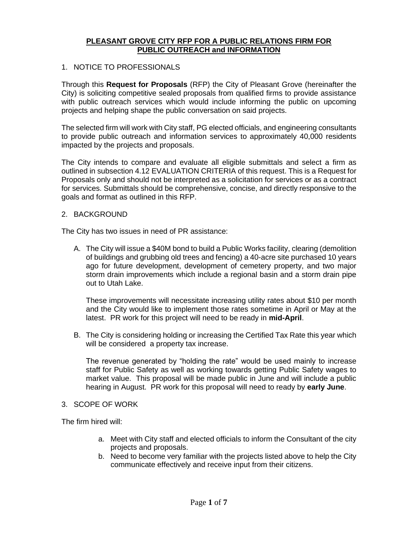### **PLEASANT GROVE CITY RFP FOR A PUBLIC RELATIONS FIRM FOR PUBLIC OUTREACH and INFORMATION**

### 1. NOTICE TO PROFESSIONALS

Through this **Request for Proposals** (RFP) the City of Pleasant Grove (hereinafter the City) is soliciting competitive sealed proposals from qualified firms to provide assistance with public outreach services which would include informing the public on upcoming projects and helping shape the public conversation on said projects.

The selected firm will work with City staff, PG elected officials, and engineering consultants to provide public outreach and information services to approximately 40,000 residents impacted by the projects and proposals.

The City intends to compare and evaluate all eligible submittals and select a firm as outlined in subsection 4.12 EVALUATION CRITERIA of this request. This is a Request for Proposals only and should not be interpreted as a solicitation for services or as a contract for services. Submittals should be comprehensive, concise, and directly responsive to the goals and format as outlined in this RFP.

### 2. BACKGROUND

The City has two issues in need of PR assistance:

A. The City will issue a \$40M bond to build a Public Works facility, clearing (demolition of buildings and grubbing old trees and fencing) a 40-acre site purchased 10 years ago for future development, development of cemetery property, and two major storm drain improvements which include a regional basin and a storm drain pipe out to Utah Lake.

These improvements will necessitate increasing utility rates about \$10 per month and the City would like to implement those rates sometime in April or May at the latest. PR work for this project will need to be ready in **mid-April**.

B. The City is considering holding or increasing the Certified Tax Rate this year which will be considered a property tax increase.

The revenue generated by "holding the rate" would be used mainly to increase staff for Public Safety as well as working towards getting Public Safety wages to market value. This proposal will be made public in June and will include a public hearing in August. PR work for this proposal will need to ready by **early June**.

### 3. SCOPE OF WORK

The firm hired will:

- a. Meet with City staff and elected officials to inform the Consultant of the city projects and proposals.
- b. Need to become very familiar with the projects listed above to help the City communicate effectively and receive input from their citizens.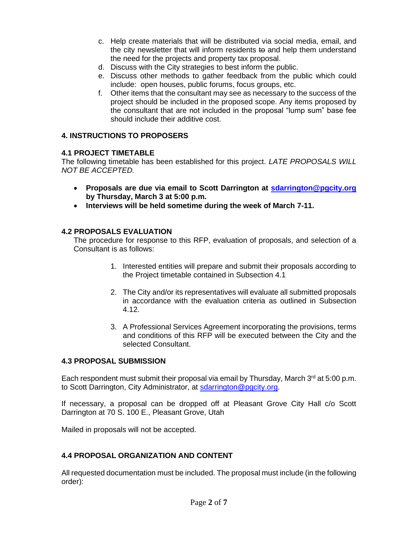- c. Help create materials that will be distributed via social media, email, and the city newsletter that will inform residents to and help them understand the need for the projects and property tax proposal.
- d. Discuss with the City strategies to best inform the public.
- e. Discuss other methods to gather feedback from the public which could include: open houses, public forums, focus groups, etc.
- f. Other items that the consultant may see as necessary to the success of the project should be included in the proposed scope. Any items proposed by the consultant that are not included in the proposal "lump sum" base fee should include their additive cost.

### **4. INSTRUCTIONS TO PROPOSERS**

### **4.1 PROJECT TIMETABLE**

The following timetable has been established for this project. *LATE PROPOSALS WILL NOT BE ACCEPTED.*

- **Proposals are due via email to Scott Darrington at [sdarrington@pgcity.org](mailto:sdarrington@pgcity.org) by Thursday, March 3 at 5:00 p.m.**
- **Interviews will be held sometime during the week of March 7-11.**

### **4.2 PROPOSALS EVALUATION**

The procedure for response to this RFP, evaluation of proposals, and selection of a Consultant is as follows:

- 1. Interested entities will prepare and submit their proposals according to the Project timetable contained in Subsection 4.1
- 2. The City and/or its representatives will evaluate all submitted proposals in accordance with the evaluation criteria as outlined in Subsection 4.12.
- 3. A Professional Services Agreement incorporating the provisions, terms and conditions of this RFP will be executed between the City and the selected Consultant.

### **4.3 PROPOSAL SUBMISSION**

Each respondent must submit their proposal via email by Thursday, March  $3<sup>rd</sup>$  at 5:00 p.m. to Scott Darrington, City Administrator, at [sdarrington@pgcity.org.](mailto:sdarrington@pgcity.org)

If necessary, a proposal can be dropped off at Pleasant Grove City Hall c/o Scott Darrington at 70 S. 100 E., Pleasant Grove, Utah

Mailed in proposals will not be accepted.

### **4.4 PROPOSAL ORGANIZATION AND CONTENT**

All requested documentation must be included. The proposal must include (in the following order):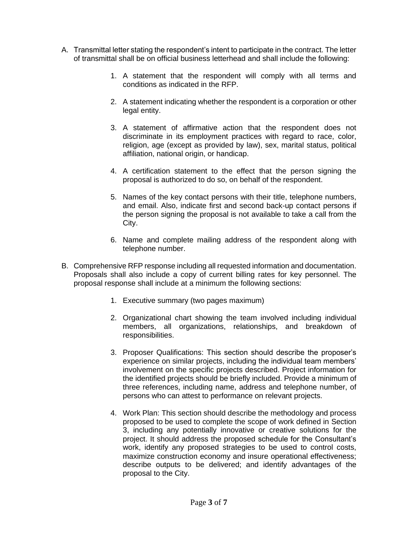- A. Transmittal letter stating the respondent's intent to participate in the contract. The letter of transmittal shall be on official business letterhead and shall include the following:
	- 1. A statement that the respondent will comply with all terms and conditions as indicated in the RFP.
	- 2. A statement indicating whether the respondent is a corporation or other legal entity.
	- 3. A statement of affirmative action that the respondent does not discriminate in its employment practices with regard to race, color, religion, age (except as provided by law), sex, marital status, political affiliation, national origin, or handicap.
	- 4. A certification statement to the effect that the person signing the proposal is authorized to do so, on behalf of the respondent.
	- 5. Names of the key contact persons with their title, telephone numbers, and email. Also, indicate first and second back-up contact persons if the person signing the proposal is not available to take a call from the City.
	- 6. Name and complete mailing address of the respondent along with telephone number.
- B. Comprehensive RFP response including all requested information and documentation. Proposals shall also include a copy of current billing rates for key personnel. The proposal response shall include at a minimum the following sections:
	- 1. Executive summary (two pages maximum)
	- 2. Organizational chart showing the team involved including individual members, all organizations, relationships, and breakdown of responsibilities.
	- 3. Proposer Qualifications: This section should describe the proposer's experience on similar projects, including the individual team members' involvement on the specific projects described. Project information for the identified projects should be briefly included. Provide a minimum of three references, including name, address and telephone number, of persons who can attest to performance on relevant projects.
	- 4. Work Plan: This section should describe the methodology and process proposed to be used to complete the scope of work defined in Section 3, including any potentially innovative or creative solutions for the project. It should address the proposed schedule for the Consultant's work, identify any proposed strategies to be used to control costs, maximize construction economy and insure operational effectiveness; describe outputs to be delivered; and identify advantages of the proposal to the City.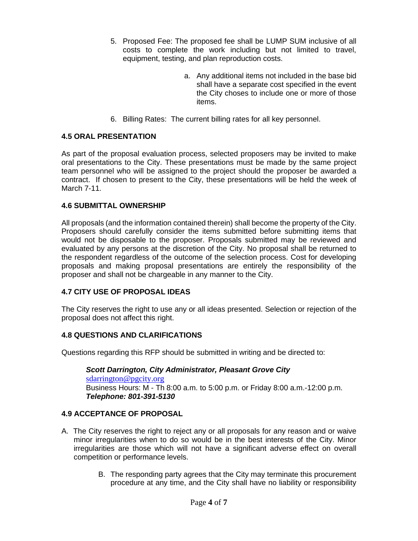- 5. Proposed Fee: The proposed fee shall be LUMP SUM inclusive of all costs to complete the work including but not limited to travel, equipment, testing, and plan reproduction costs.
	- a. Any additional items not included in the base bid shall have a separate cost specified in the event the City choses to include one or more of those items.
- 6. Billing Rates: The current billing rates for all key personnel.

### **4.5 ORAL PRESENTATION**

As part of the proposal evaluation process, selected proposers may be invited to make oral presentations to the City. These presentations must be made by the same project team personnel who will be assigned to the project should the proposer be awarded a contract. If chosen to present to the City, these presentations will be held the week of March 7-11.

### **4.6 SUBMITTAL OWNERSHIP**

All proposals (and the information contained therein) shall become the property of the City. Proposers should carefully consider the items submitted before submitting items that would not be disposable to the proposer. Proposals submitted may be reviewed and evaluated by any persons at the discretion of the City. No proposal shall be returned to the respondent regardless of the outcome of the selection process. Cost for developing proposals and making proposal presentations are entirely the responsibility of the proposer and shall not be chargeable in any manner to the City.

### **4.7 CITY USE OF PROPOSAL IDEAS**

The City reserves the right to use any or all ideas presented. Selection or rejection of the proposal does not affect this right.

### **4.8 QUESTIONS AND CLARIFICATIONS**

Questions regarding this RFP should be submitted in writing and be directed to:

*Scott Darrington, City Administrator, Pleasant Grove City* [sdarrington@pgcity.org](mailto:sdarrington@pgcity.org) Business Hours: M - Th 8:00 a.m. to 5:00 p.m. or Friday 8:00 a.m.-12:00 p.m. *Telephone: 801-391-5130*

### **4.9 ACCEPTANCE OF PROPOSAL**

- A. The City reserves the right to reject any or all proposals for any reason and or waive minor irregularities when to do so would be in the best interests of the City. Minor irregularities are those which will not have a significant adverse effect on overall competition or performance levels.
	- B. The responding party agrees that the City may terminate this procurement procedure at any time, and the City shall have no liability or responsibility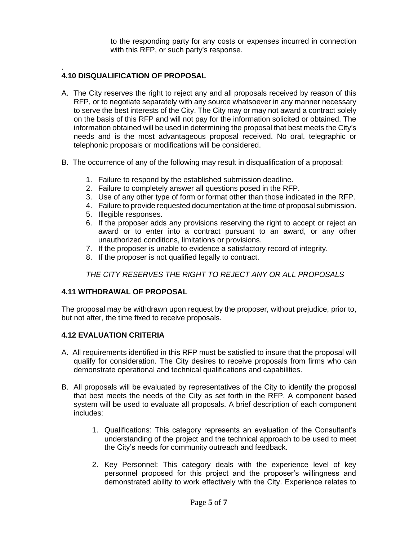to the responding party for any costs or expenses incurred in connection with this RFP, or such party's response.

#### . **4.10 DISQUALIFICATION OF PROPOSAL**

- A. The City reserves the right to reject any and all proposals received by reason of this RFP, or to negotiate separately with any source whatsoever in any manner necessary to serve the best interests of the City. The City may or may not award a contract solely on the basis of this RFP and will not pay for the information solicited or obtained. The information obtained will be used in determining the proposal that best meets the City's needs and is the most advantageous proposal received. No oral, telegraphic or telephonic proposals or modifications will be considered.
- B. The occurrence of any of the following may result in disqualification of a proposal:
	- 1. Failure to respond by the established submission deadline.
	- 2. Failure to completely answer all questions posed in the RFP.
	- 3. Use of any other type of form or format other than those indicated in the RFP.
	- 4. Failure to provide requested documentation at the time of proposal submission.
	- 5. Illegible responses.
	- 6. If the proposer adds any provisions reserving the right to accept or reject an award or to enter into a contract pursuant to an award, or any other unauthorized conditions, limitations or provisions.
	- 7. If the proposer is unable to evidence a satisfactory record of integrity.
	- 8. If the proposer is not qualified legally to contract.

*THE CITY RESERVES THE RIGHT TO REJECT ANY OR ALL PROPOSALS*

### **4.11 WITHDRAWAL OF PROPOSAL**

The proposal may be withdrawn upon request by the proposer, without prejudice, prior to, but not after, the time fixed to receive proposals.

### **4.12 EVALUATION CRITERIA**

- A. All requirements identified in this RFP must be satisfied to insure that the proposal will qualify for consideration. The City desires to receive proposals from firms who can demonstrate operational and technical qualifications and capabilities.
- B. All proposals will be evaluated by representatives of the City to identify the proposal that best meets the needs of the City as set forth in the RFP. A component based system will be used to evaluate all proposals. A brief description of each component includes:
	- 1. Qualifications: This category represents an evaluation of the Consultant's understanding of the project and the technical approach to be used to meet the City's needs for community outreach and feedback.
	- 2. Key Personnel: This category deals with the experience level of key personnel proposed for this project and the proposer's willingness and demonstrated ability to work effectively with the City. Experience relates to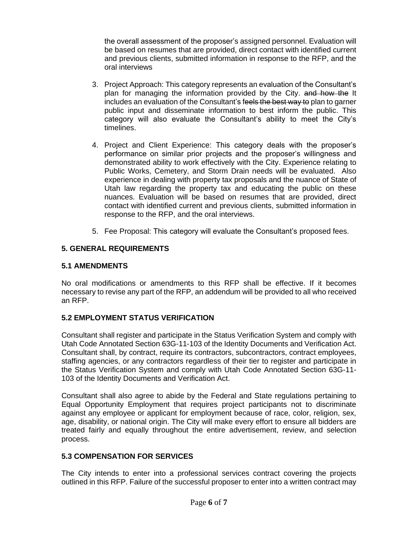the overall assessment of the proposer's assigned personnel. Evaluation will be based on resumes that are provided, direct contact with identified current and previous clients, submitted information in response to the RFP, and the oral interviews

- 3. Project Approach: This category represents an evaluation of the Consultant's plan for managing the information provided by the City. and how the It includes an evaluation of the Consultant's feels the best way to plan to garner public input and disseminate information to best inform the public. This category will also evaluate the Consultant's ability to meet the City's timelines.
- 4. Project and Client Experience: This category deals with the proposer's performance on similar prior projects and the proposer's willingness and demonstrated ability to work effectively with the City. Experience relating to Public Works, Cemetery, and Storm Drain needs will be evaluated. Also experience in dealing with property tax proposals and the nuance of State of Utah law regarding the property tax and educating the public on these nuances. Evaluation will be based on resumes that are provided, direct contact with identified current and previous clients, submitted information in response to the RFP, and the oral interviews.
- 5. Fee Proposal: This category will evaluate the Consultant's proposed fees.

# **5. GENERAL REQUIREMENTS**

## **5.1 AMENDMENTS**

No oral modifications or amendments to this RFP shall be effective. If it becomes necessary to revise any part of the RFP, an addendum will be provided to all who received an RFP.

# **5.2 EMPLOYMENT STATUS VERIFICATION**

Consultant shall register and participate in the Status Verification System and comply with Utah Code Annotated Section 63G-11-103 of the Identity Documents and Verification Act. Consultant shall, by contract, require its contractors, subcontractors, contract employees, staffing agencies, or any contractors regardless of their tier to register and participate in the Status Verification System and comply with Utah Code Annotated Section 63G-11- 103 of the Identity Documents and Verification Act.

Consultant shall also agree to abide by the Federal and State regulations pertaining to Equal Opportunity Employment that requires project participants not to discriminate against any employee or applicant for employment because of race, color, religion, sex, age, disability, or national origin. The City will make every effort to ensure all bidders are treated fairly and equally throughout the entire advertisement, review, and selection process.

# **5.3 COMPENSATION FOR SERVICES**

The City intends to enter into a professional services contract covering the projects outlined in this RFP. Failure of the successful proposer to enter into a written contract may